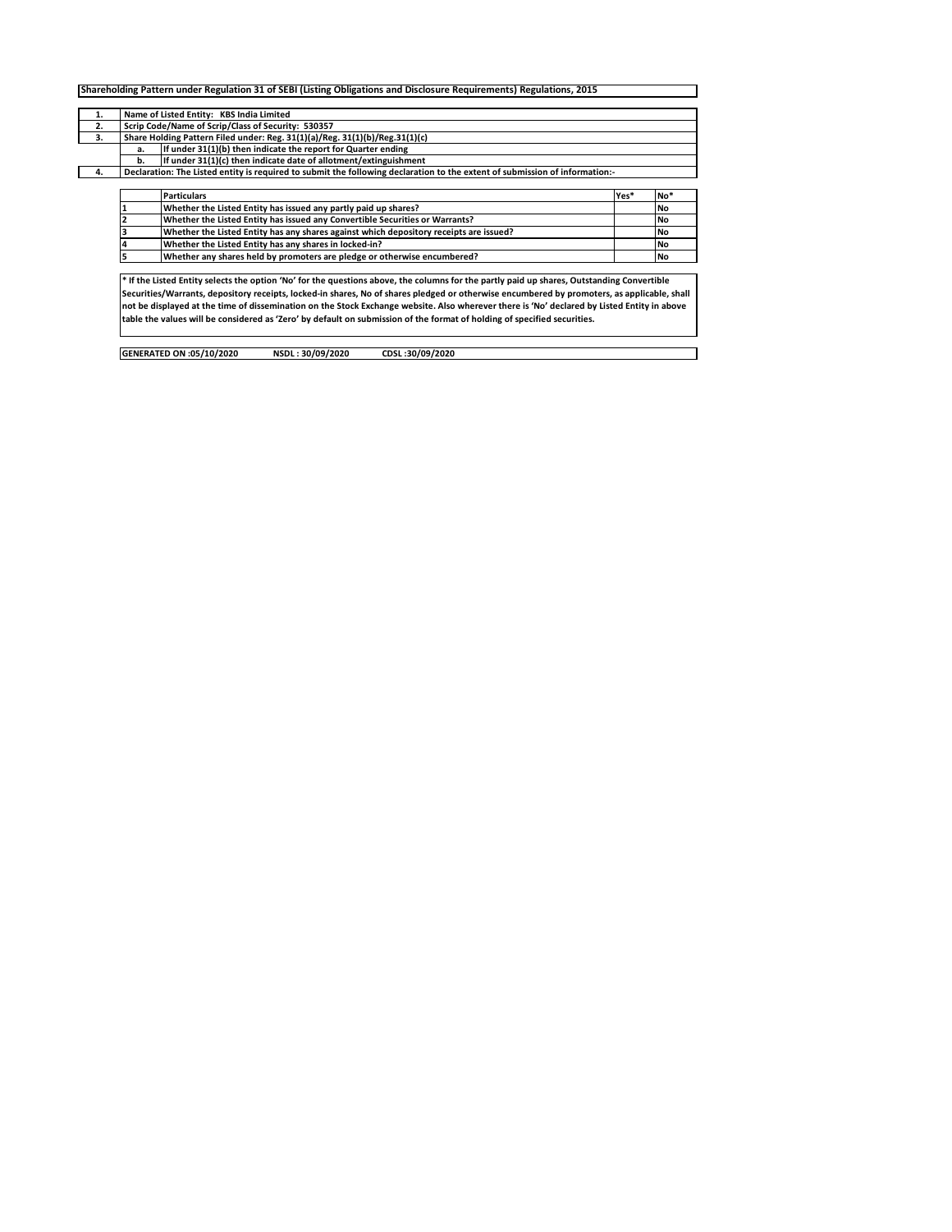| 1. |    | Name of Listed Entity: KBS India Limited                                                                                                    |      |     |
|----|----|---------------------------------------------------------------------------------------------------------------------------------------------|------|-----|
| 2. |    | Scrip Code/Name of Scrip/Class of Security: 530357                                                                                          |      |     |
| 3. |    | Share Holding Pattern Filed under: Reg. 31(1)(a)/Reg. 31(1)(b)/Reg.31(1)(c)                                                                 |      |     |
|    | a. | If under 31(1)(b) then indicate the report for Quarter ending                                                                               |      |     |
|    | b. | If under 31(1)(c) then indicate date of allotment/extinguishment                                                                            |      |     |
| 4. |    | Declaration: The Listed entity is required to submit the following declaration to the extent of submission of information:-                 |      |     |
|    |    |                                                                                                                                             |      |     |
|    |    | <b>Particulars</b>                                                                                                                          | Yes* | No* |
|    |    | Whether the Listed Entity has issued any partly paid up shares?                                                                             |      | No  |
|    |    | Whether the Listed Entity has issued any Convertible Securities or Warrants?                                                                |      | No  |
|    |    | Whether the Listed Entity has any shares against which depository receipts are issued?                                                      |      | No  |
|    |    | Whether the Listed Entity has any shares in locked-in?                                                                                      |      | No  |
|    |    | Whether any shares held by promoters are pledge or otherwise encumbered?                                                                    |      | No  |
|    |    |                                                                                                                                             |      |     |
|    |    | * If the Listed Entity selects the option 'No' for the questions above, the columns for the partly paid up shares, Outstanding Convertible  |      |     |
|    |    | Securities/Warrants, depository receipts, locked-in shares, No of shares pledged or otherwise encumbered by promoters, as applicable, shall |      |     |
|    |    | not be displayed at the time of dissemination on the Stock Exchange website. Also wherever there is 'No' declared by Listed Entity in above |      |     |
|    |    | table the values will be considered as 'Zero' by default on submission of the format of holding of specified securities.                    |      |     |

 $\overline{\mathbb{I}}$ 

| GENERATED ON :05/10/2020 | NSDL: 30/09/2020 | CDSL:30/09/2020 |
|--------------------------|------------------|-----------------|
|                          |                  |                 |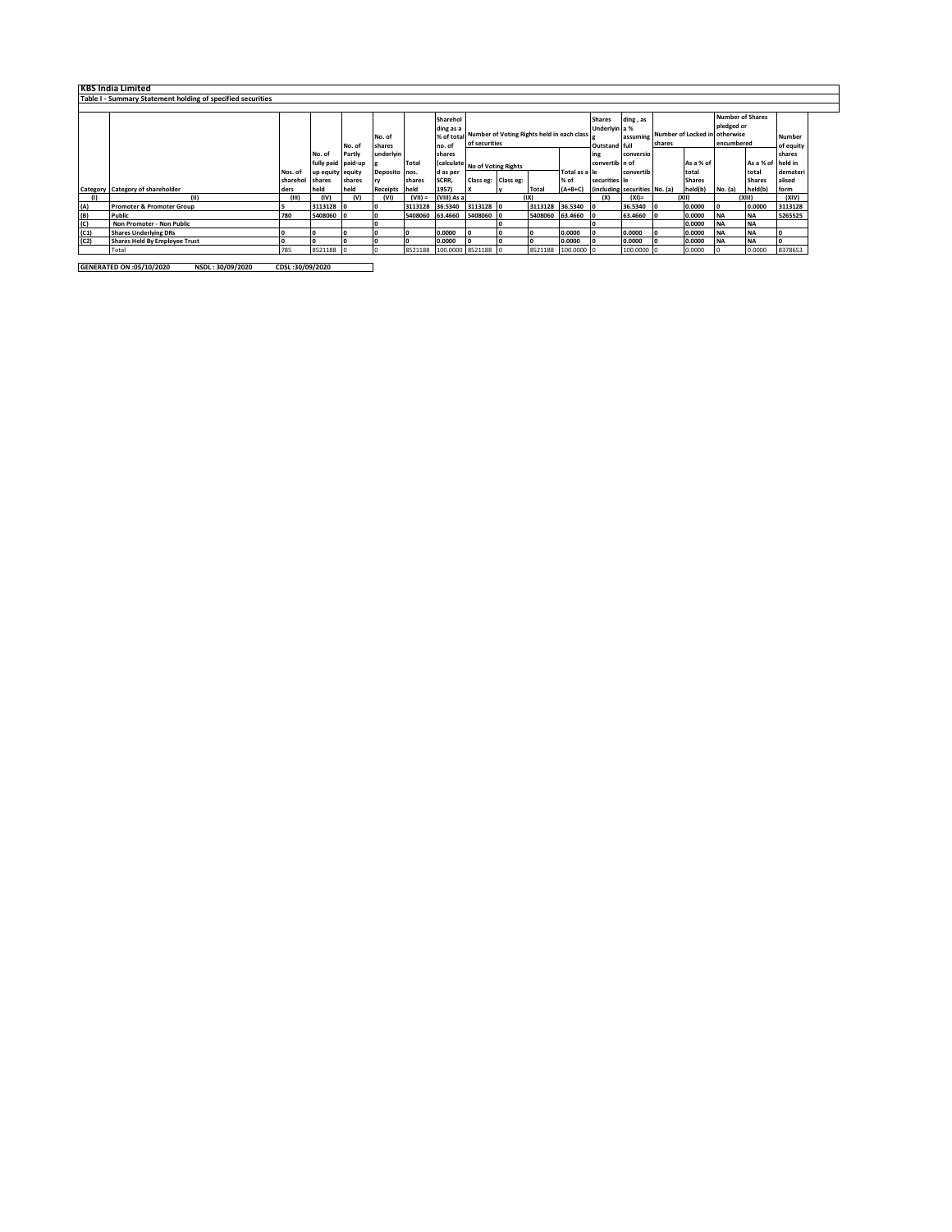|      | <b>KBS India Limited</b>                                    |                     |                            |        |                            |                 |                     |                                                                                                                                                                                      |  |                 |                       |                 |                               |    |                        |                                       |                        |                    |
|------|-------------------------------------------------------------|---------------------|----------------------------|--------|----------------------------|-----------------|---------------------|--------------------------------------------------------------------------------------------------------------------------------------------------------------------------------------|--|-----------------|-----------------------|-----------------|-------------------------------|----|------------------------|---------------------------------------|------------------------|--------------------|
|      |                                                             |                     |                            |        |                            |                 |                     |                                                                                                                                                                                      |  |                 |                       |                 |                               |    |                        |                                       |                        |                    |
|      | Table I - Summary Statement holding of specified securities |                     |                            |        |                            |                 |                     |                                                                                                                                                                                      |  |                 |                       |                 |                               |    |                        |                                       |                        |                    |
|      |                                                             |                     |                            |        |                            |                 | Sharehol            |                                                                                                                                                                                      |  |                 |                       | <b>Shares</b>   | ding, as                      |    |                        | <b>Number of Shares</b><br>pledged or |                        |                    |
|      |                                                             |                     |                            | No. of | No. of<br>shares           |                 | ding as a<br>no. of | Underlyin a %<br>% of total Number of Voting Rights held in each class<br>Number of Locked in otherwise<br>assuming<br>of securities<br>encumbered<br>shares<br><b>Outstand full</b> |  |                 |                       |                 |                               |    |                        | <b>Number</b><br>of equity            |                        |                    |
|      |                                                             |                     | No. of                     | Partly | underlyin                  |                 | shares              |                                                                                                                                                                                      |  |                 |                       | ing             | conversio                     |    |                        |                                       |                        | shares             |
|      |                                                             |                     | fully paid paid-up         |        |                            | Total           |                     | (calculate No of Voting Rights                                                                                                                                                       |  |                 |                       | convertib in of |                               |    | As a % of              |                                       | As a % of held in      |                    |
|      |                                                             | Nos. of<br>sharehol | up equity equity<br>shares | shares | Deposito nos.              | shares          | d as per<br>SCRR,   | Class eg: Class eg:                                                                                                                                                                  |  |                 | Total as a le<br>% of | securities le   | convertib                     |    | total<br><b>Shares</b> |                                       | total<br><b>Shares</b> | demateri<br>alised |
|      | <b>Category</b> Category of shareholder                     | ders                | held                       | held   | <b>rv</b><br>Receipts held |                 | 1957)               |                                                                                                                                                                                      |  | Total           | $(A+B+C)$             |                 | (including securities No. (a) |    | held(b)                | No. (a)                               | held(b)                | form               |
| (1)  | (11)                                                        | (III)               | (IV)                       | (v)    | (VI)                       | $(VII) =$       | (VIII) As a         |                                                                                                                                                                                      |  | ואו             |                       | (X)             | $(XI) =$                      |    | (X  )                  |                                       | (XIII)                 | (XIV)              |
| (A)  | <b>Promoter &amp; Promoter Group</b>                        |                     | 3113128                    |        |                            | 3113128         | 36.5340             | 3113128 0                                                                                                                                                                            |  | 3113128 36.5340 |                       |                 | 36.5340                       | 10 | 0.0000                 |                                       | 0.0000                 | 3113128            |
| (B)  | Public                                                      | 780                 | 5408060                    |        | ı٥                         | 5408060 63.4660 |                     | 5408060 0                                                                                                                                                                            |  | 5408060 63.4660 |                       |                 | 63.4660                       | 10 | 0.0000                 | <b>INA</b>                            | <b>NA</b>              | 5265525            |
| (C)  | Non Promoter - Non Public                                   |                     |                            |        |                            |                 |                     |                                                                                                                                                                                      |  |                 |                       |                 |                               |    | 0.0000                 | <b>INA</b>                            | <b>NA</b>              |                    |
| (C1) | <b>Shares Underlying DRs</b>                                |                     |                            |        |                            |                 | 0.0000              |                                                                                                                                                                                      |  |                 | 0.0000                |                 | 0.0000                        |    | 0.0000                 | <b>INA</b>                            | <b>INA</b>             |                    |
| (C2) | <b>Shares Held By Employee Trust</b>                        |                     |                            |        |                            |                 | 0.0000              | ١o                                                                                                                                                                                   |  |                 | 0.0000                |                 | 0.0000                        |    | 0.0000                 | <b>NA</b>                             | <b>INA</b>             |                    |
|      | Total                                                       | 785                 | 8521188                    |        |                            | 8521188         |                     | 100.0000 8521188                                                                                                                                                                     |  |                 | 8521188 100.0000 0    |                 | 100,0000 0                    |    | 0.0000                 |                                       | 0.0000                 | 8378653            |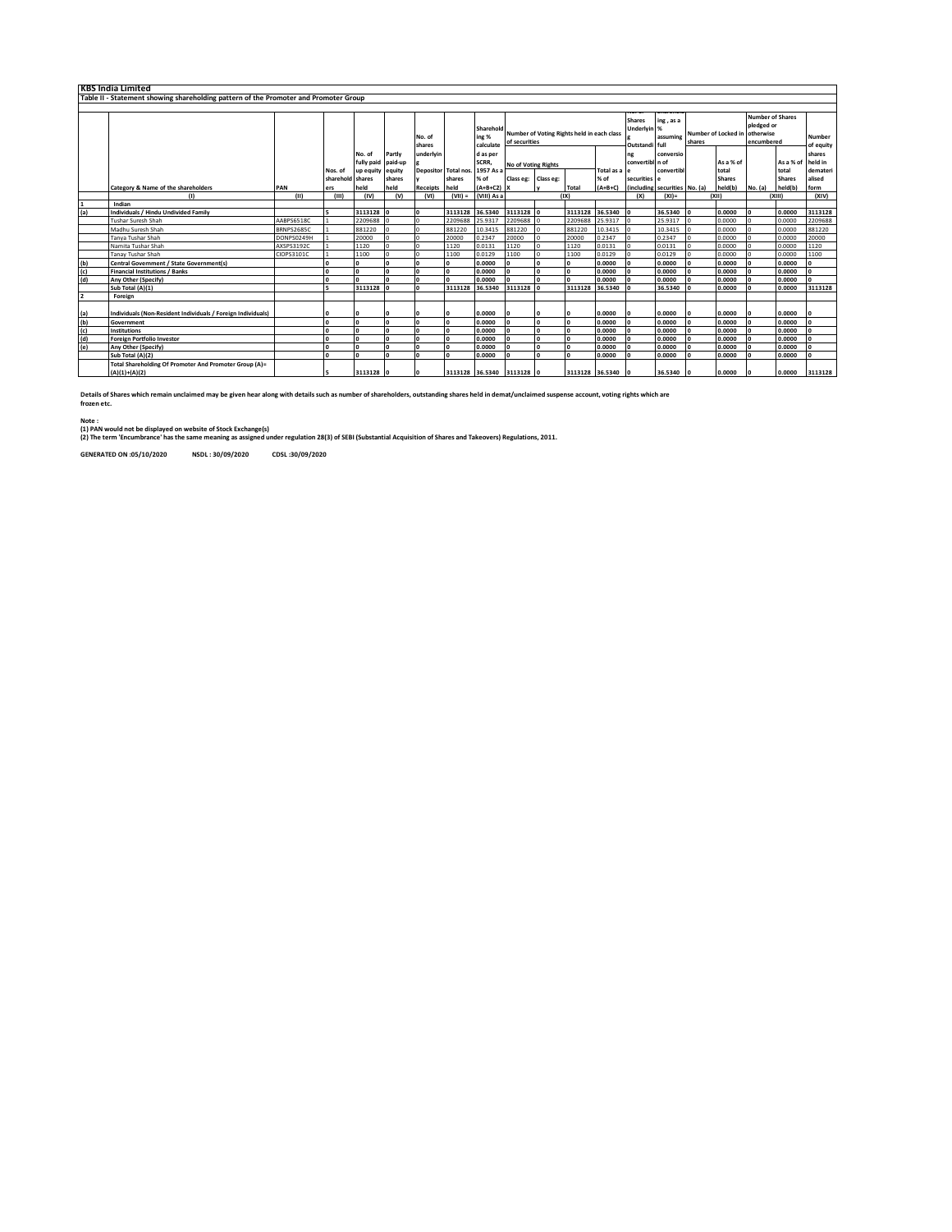|               | <b>KBS India Limited</b>                                                             |            |                      |                                             |                                       |                  |                                |                                        |                                                             |                                                                  |                 |                                                |                                       |                              |    |                                                                                      |         |                                             |                              |
|---------------|--------------------------------------------------------------------------------------|------------|----------------------|---------------------------------------------|---------------------------------------|------------------|--------------------------------|----------------------------------------|-------------------------------------------------------------|------------------------------------------------------------------|-----------------|------------------------------------------------|---------------------------------------|------------------------------|----|--------------------------------------------------------------------------------------|---------|---------------------------------------------|------------------------------|
|               | Table II - Statement showing shareholding pattern of the Promoter and Promoter Group |            |                      |                                             |                                       |                  |                                |                                        |                                                             |                                                                  |                 |                                                |                                       |                              |    |                                                                                      |         |                                             |                              |
|               |                                                                                      |            |                      |                                             |                                       |                  |                                |                                        |                                                             |                                                                  |                 |                                                |                                       |                              |    |                                                                                      |         |                                             |                              |
|               |                                                                                      |            |                      |                                             |                                       | No. of<br>shares |                                | Sharehold<br>ing %<br>calculate        | Number of Voting Rights held in each class<br>of securities |                                                                  |                 | <b>Shares</b><br>Underlyin %<br>Outstandi full | ing, as a<br>assuming                 | shares                       |    | <b>Number of Shares</b><br>pledged or<br>Number of Locked in otherwise<br>encumbered |         | Number<br>of equity                         |                              |
|               |                                                                                      |            | Nos. of<br>sharehold | No. of<br>fully paid<br>up equity<br>shares | Partly<br>paid-up<br>equity<br>shares | underlvin        | Depositor Total nos.<br>shares | d as per<br>SCRR,<br>1957 As a<br>% of | Class eg:                                                   | <b>No of Voting Rights</b><br>Total as a le<br>% of<br>Class eg: |                 |                                                | ng<br>convertibl n of<br>securities e | conversio<br>convertibl      |    | As a % of<br>total<br><b>Shares</b>                                                  |         | As a % of held in<br>total<br><b>Shares</b> | shares<br>demateri<br>alised |
|               | Category & Name of the shareholders                                                  | PAN        | ers                  | held                                        | held                                  | <b>Receipts</b>  | held                           | $(A+B+C2)$                             |                                                             |                                                                  | Total           | $(A+B+C)$                                      |                                       | including securities No. (a) |    | held(b)                                                                              | No. (a) | held(b)                                     | form                         |
|               | (1)                                                                                  | (II)       | (III)                | (IV)                                        | (v)                                   | (VI)             | $(VII) =$                      | (VIII) As a                            |                                                             |                                                                  | (IX)            |                                                | (X)                                   | $(XI)$ =                     |    | (X  )                                                                                | (X  )   |                                             | (XIV)                        |
|               | Indian                                                                               |            |                      |                                             |                                       |                  |                                |                                        |                                                             |                                                                  |                 |                                                |                                       |                              |    |                                                                                      |         |                                             |                              |
| (a)           | <b>Individuals / Hindu Undivided Family</b>                                          |            |                      | 3113128 0                                   |                                       |                  | 3113128                        | 36.5340                                | 3113128                                                     |                                                                  | 3113128 36.5340 |                                                |                                       | 36.5340                      |    | 0.0000                                                                               |         | 0.0000                                      | 3113128                      |
|               | <b>Tushar Suresh Shah</b>                                                            | AABPS6518C |                      | 2209688                                     |                                       |                  | 2209688                        | 25.9317                                | 2209688                                                     |                                                                  | 2209688         | 25.9317                                        |                                       | 25.9317                      |    | 0.0000                                                                               |         | 0.0000                                      | 2209688                      |
|               | Madhu Suresh Shah                                                                    | BRNPS2685C |                      | 881220                                      |                                       |                  | 881220                         | 10.3415                                | 881220                                                      |                                                                  | 881220          | 10.3415                                        |                                       | 10.3415                      |    | 0.0000                                                                               |         | 0.0000                                      | 881220                       |
|               | Tanya Tushar Shah                                                                    | DONPS0249H |                      | 20000                                       |                                       |                  | 20000                          | 0.2347                                 | 20000                                                       |                                                                  | 20000           | 0.2347                                         |                                       | 0.2347                       |    | 0.0000                                                                               |         | 0.0000                                      | 20000                        |
|               | Namita Tushar Shah                                                                   | AXSPS3192C |                      | 1120                                        | $\sqrt{2}$                            |                  | 1120                           | 0.0131                                 | 1120                                                        |                                                                  | 1120            | 0.0131                                         | In                                    | 0.0131                       |    | 0.0000                                                                               |         | 0.0000                                      | 1120                         |
|               | <b>Tanav Tushar Shah</b>                                                             | CIOPS3101C |                      | 1100                                        |                                       |                  | 1100                           | 0.0129                                 | 1100                                                        |                                                                  | 1100            | 0.0129                                         |                                       | 0.0129                       |    | 0.0000                                                                               |         | 0.0000                                      | 1100                         |
| (b)           | Central Government / State Government(s)                                             |            |                      |                                             |                                       |                  |                                | 0.0000                                 |                                                             |                                                                  |                 | 0.0000                                         |                                       | 0.0000                       | I∩ | 0.0000                                                                               |         | 0.0000                                      | $\sqrt{2}$                   |
| (c)           | <b>Financial Institutions / Banks</b>                                                |            | I٥                   | n                                           | n                                     |                  |                                | 0.0000                                 |                                                             |                                                                  |                 | 0.0000                                         |                                       | 0.0000                       | I∩ | 0.0000                                                                               |         | 0.0000                                      | $\Omega$                     |
| (d)           | Any Other (Specify)                                                                  |            | I٥                   | $\sqrt{2}$                                  | 'n                                    |                  |                                | 0.0000                                 |                                                             |                                                                  |                 | 0.0000                                         |                                       | 0.0000                       |    | 0.0000                                                                               |         | 0.0000                                      | n                            |
|               | Sub Total (A)(1)                                                                     |            | k                    | 3113128                                     | In.                                   |                  | 3113128                        | 36.5340                                | 3113128                                                     |                                                                  | 3113128         | 36.5340                                        |                                       | 36.5340                      |    | 0.0000                                                                               |         | 0.0000                                      | 3113128                      |
|               | Foreign                                                                              |            |                      |                                             |                                       |                  |                                |                                        |                                                             |                                                                  |                 |                                                |                                       |                              |    |                                                                                      |         |                                             |                              |
| (a)           | Individuals (Non-Resident Individuals / Foreign Individuals)                         |            |                      |                                             |                                       |                  |                                | 0.0000                                 |                                                             |                                                                  |                 | 0.0000                                         | ı٥                                    | 0.0000                       | I٥ | 0.0000                                                                               |         | 0.0000                                      | $\Omega$                     |
| (b)           | Government                                                                           |            | I٥                   | $\sqrt{2}$                                  | n                                     |                  |                                | 0.0000                                 |                                                             |                                                                  |                 | 0.0000                                         | I٥                                    | 0.0000                       | I٥ | 0.0000                                                                               |         | 0.0000                                      | n                            |
|               | Institutions                                                                         |            | I٥                   | n                                           | 'n                                    |                  |                                | 0.0000                                 |                                                             |                                                                  |                 | 0.0000                                         | I٥                                    | 0.0000                       | I٥ | 0.0000                                                                               |         | 0.0000                                      |                              |
| $\frac{c}{d}$ | <b>Foreign Portfolio Investor</b>                                                    |            | I٥                   | n                                           | l o                                   |                  | 'n                             | 0.0000                                 |                                                             |                                                                  |                 | 0.0000                                         | I٥                                    | 0.0000                       | I٥ | 0.0000                                                                               |         | 0.0000                                      |                              |
| (e)           | <b>Any Other (Specify)</b>                                                           |            | I٥                   |                                             | $\sqrt{2}$                            |                  |                                | 0.0000                                 |                                                             |                                                                  |                 | 0.0000                                         |                                       | 0.0000                       |    | 0.0000                                                                               |         | 0.0000                                      |                              |
|               | Sub Total (A)(2)                                                                     |            | I۵                   | $\sqrt{2}$                                  | $\sqrt{2}$                            |                  |                                | 0.0000                                 |                                                             |                                                                  |                 | 0.0000                                         |                                       | 0.0000                       |    | 0.0000                                                                               |         | 0.0000                                      |                              |
|               | Total Shareholding Of Promoter And Promoter Group (A)=<br>$(A)(1)+(A)(2)$            |            |                      | 3113128 0                                   |                                       |                  |                                | 3113128 36.5340 3113128                |                                                             |                                                                  | 3113128 36.5340 |                                                |                                       | 36.5340                      | 10 | 0.0000                                                                               |         | 0.0000                                      | 3113128                      |

**Details of Shares which remain unclaimed may be given hear along with details such as number of shareholders, outstanding shares held in demat/unclaimed suspense account, voting rights which are frozen etc.**

**Note :**

(1) PAN would not be displayed on website of Stock Exchange(s)<br>(2) The term 'Encumbrance' has the same meaning as assigned under regulation 28(3) of SEBI (Substantial Acquisition of Shares and Takeovers) Regulations, 2011.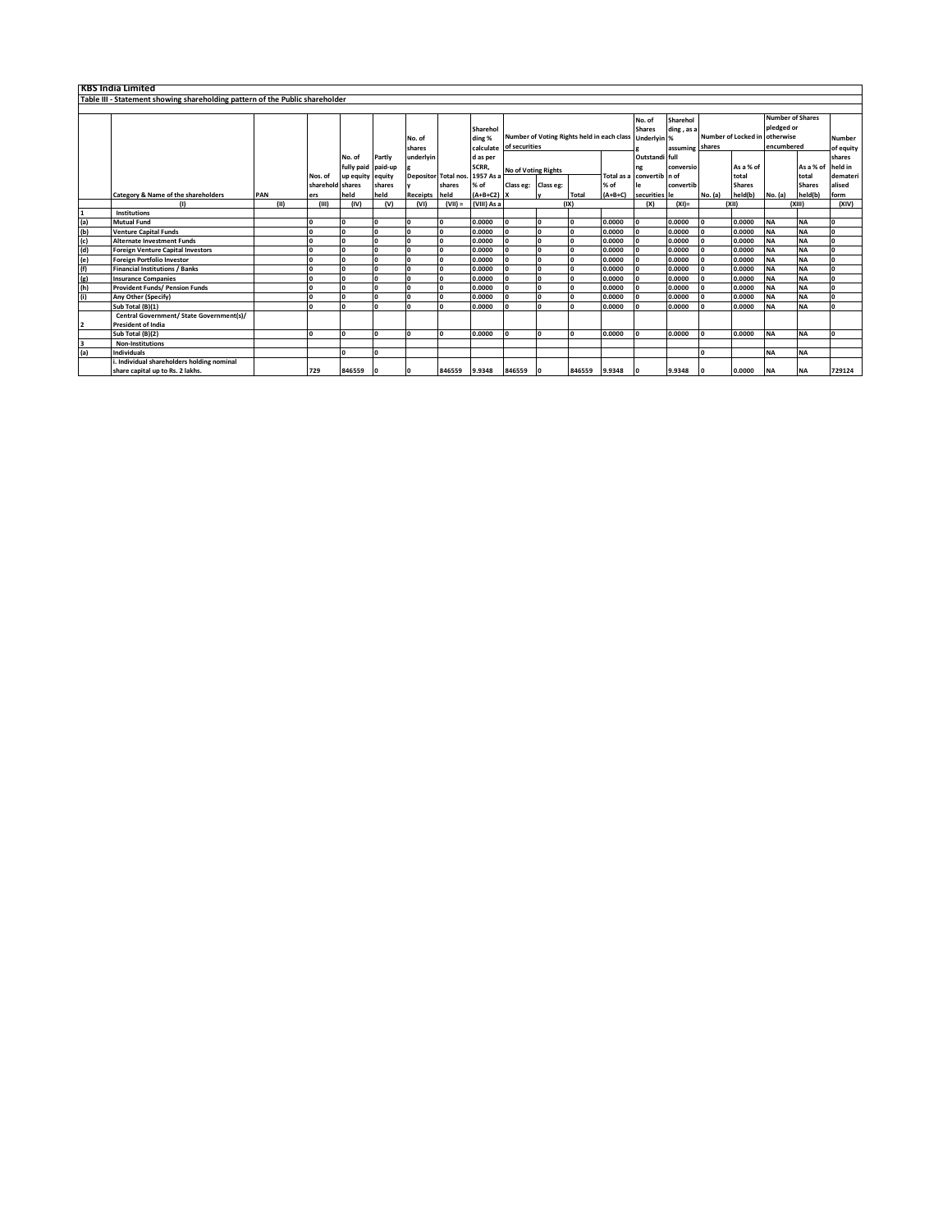|                | <b>KBS India Limited</b>                                                     |     |      |                  |                                |          |                  |                                |                                 |                                                                         |              |               |           |                                                               |           |                                         |                    |                                                     |                    |                            |
|----------------|------------------------------------------------------------------------------|-----|------|------------------|--------------------------------|----------|------------------|--------------------------------|---------------------------------|-------------------------------------------------------------------------|--------------|---------------|-----------|---------------------------------------------------------------|-----------|-----------------------------------------|--------------------|-----------------------------------------------------|--------------------|----------------------------|
|                | Table III - Statement showing shareholding pattern of the Public shareholder |     |      |                  |                                |          |                  |                                |                                 |                                                                         |              |               |           |                                                               |           |                                         |                    |                                                     |                    |                            |
|                |                                                                              |     |      |                  |                                |          |                  |                                |                                 |                                                                         |              |               |           |                                                               |           |                                         |                    |                                                     |                    |                            |
|                |                                                                              |     |      |                  |                                |          | No. of<br>shares |                                | Sharehol<br>ding %<br>calculate | Number of Voting Rights held in each class Underlyin %<br>of securities |              |               |           | Sharehol<br>No. of<br><b>Shares</b><br>ding, as a<br>assuming |           | Number of Locked in otherwise<br>shares |                    | <b>Number of Shares</b><br>pledged or<br>encumbered |                    | <b>Number</b><br>of equity |
|                |                                                                              |     |      |                  | No. of                         | Partly   | underlvin        |                                | d as per                        |                                                                         |              |               |           | Outstandi full                                                |           |                                         |                    |                                                     |                    | shares                     |
|                |                                                                              |     |      | Nos. of          | fully paid<br>up equity equity | paid-up  |                  | Depositor Total nos. 1957 As a | SCRR.                           | <b>No of Voting Rights</b>                                              |              |               |           | ng<br>Total as a convertib n of                               | conversio |                                         | As a % of<br>total |                                                     | As a % of<br>total | held in<br>demateri        |
|                |                                                                              |     |      | sharehold shares |                                | shares   |                  | shares                         | % of                            | Class eg: Class eg:                                                     |              |               | % of      | le                                                            | convertib |                                         | <b>Shares</b>      |                                                     | <b>Shares</b>      | alised                     |
|                | Category & Name of the shareholders                                          | PAN |      | ers              | held                           | held     | Receipts held    |                                | $(A+B+C2)$ X                    |                                                                         |              | <b>Total</b>  | $(A+B+C)$ | securities le                                                 |           | No. (a)                                 | held(b)            | No. (a)                                             | held(b)            | form                       |
|                |                                                                              |     | (11) | (III)            | (IV)                           | (V)      | (VI)             | $(VII) =$                      | (VIII) As a                     |                                                                         |              | (IX)          |           | (X)                                                           | $(XI) =$  |                                         | (X  )              |                                                     | (XIII)             | (XIV)                      |
|                | Institutions                                                                 |     |      |                  |                                |          |                  |                                |                                 |                                                                         |              |               |           |                                                               |           |                                         |                    |                                                     |                    |                            |
| (a)            | <b>Mutual Fund</b>                                                           |     |      |                  | $\Omega$                       |          |                  |                                | 0.0000                          | $\Omega$                                                                | $\Omega$     | O             | 0.0000    | I٥                                                            | 0.0000    | $\sqrt{2}$                              | 0.0000             | <b>NA</b>                                           | <b>NA</b>          | $\Omega$                   |
| (b)            | <b>Venture Capital Funds</b>                                                 |     |      |                  |                                |          |                  |                                | 0.0000                          | $\mathbf{0}$                                                            | $\mathbf{0}$ | I٥            | 0.0000    | l O                                                           | 0.0000    |                                         | 0.0000             | <b>NA</b>                                           | <b>NA</b>          | 0                          |
| (c)            | <b>Alternate Investment Funds</b>                                            |     |      |                  | $\Omega$                       | $\Omega$ |                  |                                | 0.0000                          | $\Omega$                                                                | $\Omega$     | l o           | 0.0000    | <b>O</b>                                                      | 0.0000    |                                         | 0.0000             | <b>NA</b>                                           | <b>NA</b>          | $\Omega$                   |
| (d)            | <b>Foreign Venture Capital Investors</b>                                     |     |      |                  | $\Omega$                       | $\Omega$ | $\sqrt{2}$       |                                | 0.0000                          | $\Omega$                                                                | $\Omega$     | <b>O</b>      | 0.0000    | ١o                                                            | 0.0000    | In.                                     | 0.0000             | <b>NA</b>                                           | <b>NA</b>          | <b>O</b>                   |
| (e)            | <b>Foreign Portfolio Investor</b>                                            |     |      |                  | $\Omega$                       |          | n                |                                | 0.0000                          | $\mathbf{o}$                                                            | $\Omega$     | <b>O</b>      | 0.0000    | I٥                                                            | 0.0000    |                                         | 0.0000             | <b>NA</b>                                           | <b>NA</b>          | $\Omega$                   |
| (f)            | <b>Financial Institutions / Banks</b>                                        |     |      |                  | $\mathbf{0}$                   |          |                  |                                | 0.0000                          | $\mathbf{o}$                                                            | $\Omega$     | I٥            | 0.0000    | I٥                                                            | 0.0000    |                                         | 0.0000             | <b>NA</b>                                           | <b>NA</b>          | O                          |
| (g)            | <b>Insurance Companies</b>                                                   |     |      |                  | $\Omega$                       |          |                  |                                | 0.0000                          | $\mathbf{o}$                                                            | $\Omega$     | I٥            | 0.0000    | I٥                                                            | 0.0000    |                                         | 0.0000             | <b>NA</b>                                           | <b>NA</b>          | $\mathbf 0$                |
| (h)            | <b>Provident Funds/ Pension Funds</b>                                        |     |      |                  | $\Omega$                       | $\Omega$ | $\sqrt{2}$       |                                | 0.0000                          | $\Omega$                                                                | $\Omega$     | <b>O</b>      | 0.0000    | I٥                                                            | 0.0000    |                                         | 0.0000             | <b>NA</b>                                           | <b>NA</b>          | <b>O</b>                   |
| (i)            | Any Other (Specify)                                                          |     |      |                  | $\Omega$                       | $\Omega$ |                  |                                | 0.0000                          | $\mathbf{0}$                                                            | $\mathbf{0}$ | I٥            | 0.0000    | I٥                                                            | 0.0000    |                                         | 0.0000             | <b>NA</b>                                           | <b>NA</b>          | $\mathbf{0}$               |
|                | Sub Total (B)(1)                                                             |     |      |                  |                                |          |                  |                                | 0.0000                          | n.                                                                      | $\Omega$     | I٥            | 0.0000    | In.                                                           | 0.0000    |                                         | 0.0000             | <b>NA</b>                                           | <b>NA</b>          | <b>O</b>                   |
| $\overline{2}$ | Central Government/ State Government(s)/<br><b>President of India</b>        |     |      |                  |                                |          |                  |                                |                                 |                                                                         |              |               |           |                                                               |           |                                         |                    |                                                     |                    |                            |
|                | Sub Total (B)(2)                                                             |     |      |                  | I٥                             |          | n                |                                | 0.0000                          | $\Omega$                                                                | $\mathbf{0}$ | I٥            | 0.0000    | I٥                                                            | 0.0000    |                                         | 0.0000             | <b>NA</b>                                           | <b>NA</b>          | l O                        |
| 3              | <b>Non-Institutions</b>                                                      |     |      |                  |                                |          |                  |                                |                                 |                                                                         |              |               |           |                                                               |           |                                         |                    |                                                     |                    |                            |
| (a)            | <b>Individuals</b>                                                           |     |      |                  | $\Omega$                       |          |                  |                                |                                 |                                                                         |              |               |           |                                                               |           | $\sqrt{2}$                              |                    | <b>NA</b>                                           | <b>NA</b>          |                            |
|                | . Individual shareholders holding nominal                                    |     |      |                  |                                |          |                  |                                |                                 |                                                                         |              |               |           |                                                               |           |                                         |                    |                                                     |                    |                            |
|                | share capital up to Rs. 2 lakhs.                                             |     |      | 729              | 846559                         |          |                  | 846559 9.9348                  |                                 | 846559 0                                                                |              | 846559 9.9348 |           | 1o                                                            | 9.9348    |                                         | 0.0000             | <b>NA</b>                                           | <b>NA</b>          | 729124                     |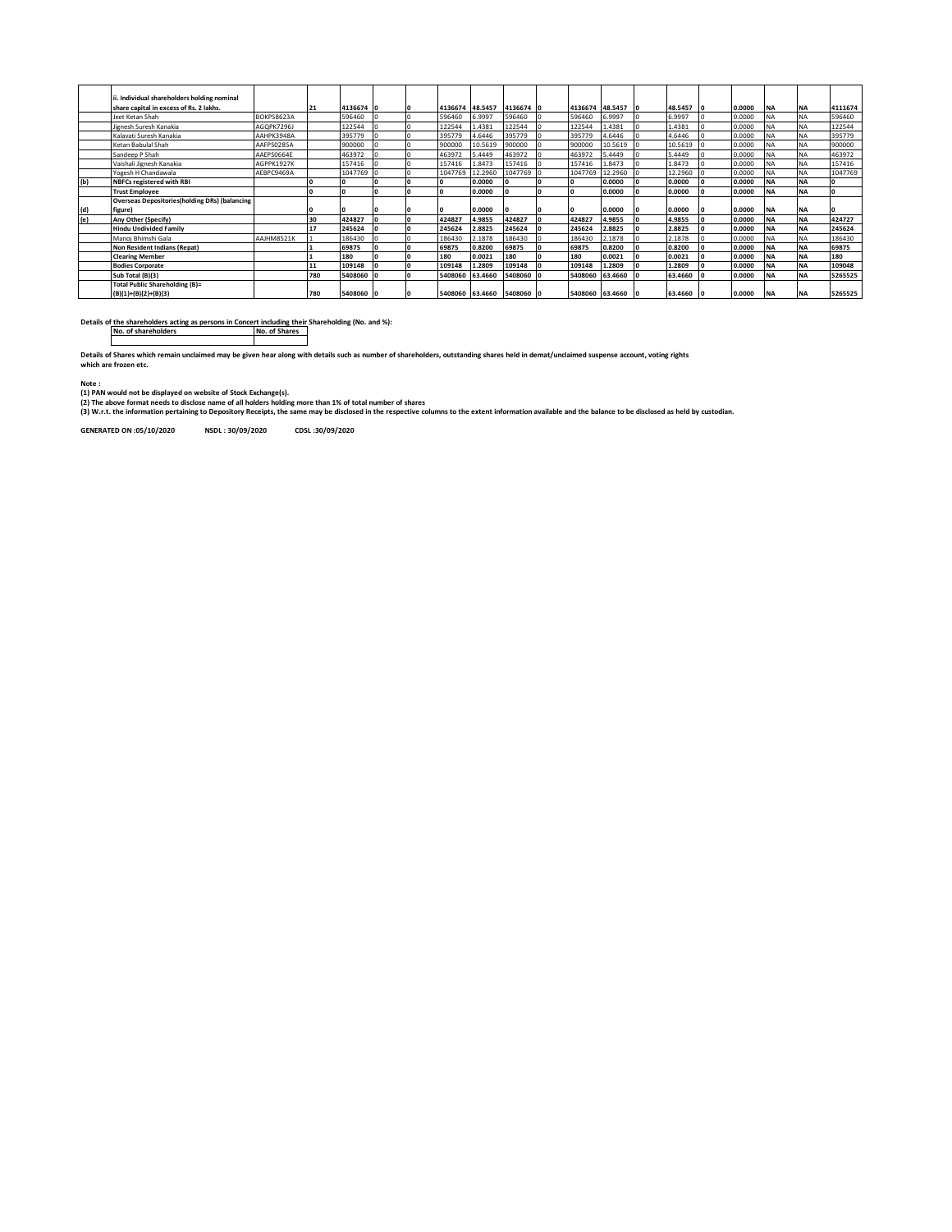|     | Individual shareholders holding nominal              |            |     |           |                 |                 |         |                           |                |                   |         |           |                         |        |           |           |          |
|-----|------------------------------------------------------|------------|-----|-----------|-----------------|-----------------|---------|---------------------------|----------------|-------------------|---------|-----------|-------------------------|--------|-----------|-----------|----------|
|     | share capital in excess of Rs. 2 lakhs.              |            | 21  | 4136674 0 |                 | 4136674 48.5457 |         | 4136674 0                 |                | 4136674 48.5457 0 |         | 48.5457 0 |                         | 0.0000 | <b>NA</b> | <b>NA</b> | 4111674  |
|     | Jeet Ketan Shah                                      | BOKPS8623A |     | 596460    | $\overline{0}$  | 596460          | 6.9997  | 596460                    | $\overline{0}$ | 596460            | 6.9997  | 6.9997    | $\overline{10}$         | 0.0000 | <b>NA</b> | <b>NA</b> | 596460   |
|     | Jignesh Suresh Kanakia                               | AGOPK7296J |     | 122544    | l o             | 122544          | 1.4381  | 122544                    | I٥             | 122544            | 1.4381  | 1.4381    | l o                     | 0.0000 | <b>NA</b> | <b>NA</b> | 122544   |
|     | Kalavati Suresh Kanakia                              | AAHPK3948A |     | 395779    | ١o              | 395779          | 4.6446  | 395779                    |                | 395779            | 4.6446  | 4.6446    |                         | 0.0000 | <b>NA</b> | <b>NA</b> | 395779   |
|     | Ketan Babulal Shah                                   | AAFPS0285A |     | 900000    | 10              | 900000          | 10.5619 | 900000                    | I٥             | 900000            | 10.5619 | 10.5619   | 10                      | 0.0000 | <b>NA</b> | <b>NA</b> | 900000   |
|     | Sandeep P Shah                                       | AAEPS0664E |     | 463972    | $\overline{10}$ | 463972          | 5.4449  | 463972                    | ΙO             | 463972            | 5.4449  | 5.4449    | $\overline{0}$          | 0.0000 | <b>NA</b> | <b>NA</b> | 463972   |
|     | Vaishali Jignesh Kanakia                             | AGPPK1927K |     | 157416    | $\overline{0}$  | 157416          | 1.8473  | 157416                    | $\overline{0}$ | 157416            | 1.8473  | .8473     | $\overline{0}$          | 0.0000 | <b>NA</b> | <b>NA</b> | 157416   |
|     | Yogesh H Chandawala                                  | AEBPC9469A |     | 1047769 0 |                 | 1047769         | 12.2960 | 1047769 0                 |                | 1047769           | 12.2960 | 12.2960   | $\mathsf{I} \mathsf{O}$ | 0.0000 | <b>NA</b> | <b>NA</b> | 1047769  |
| (b) | <b>NBFCs registered with RBI</b>                     |            |     | I٥        | O               |                 | 0.0000  |                           | l O            |                   | 0.0000  | 0.0000    | I٥                      | 0.0000 | <b>NA</b> | <b>NA</b> | $\Omega$ |
|     | <b>Trust Employee</b>                                |            |     |           | <b>O</b>        |                 | 0.0000  |                           | l O            |                   | 0.0000  | 0.0000    | I٥                      | 0.0000 | <b>NA</b> | <b>NA</b> | 0        |
|     | <b>Overseas Depositories(holding DRs) (balancing</b> |            |     |           |                 |                 |         |                           |                |                   |         |           |                         |        |           |           |          |
| (d) | figure)                                              |            |     |           | ı٥              |                 | 0.0000  |                           | I٥             |                   | 0.0000  | 0.0000    | 10                      | 0.0000 | <b>NA</b> | <b>NA</b> |          |
| (e) | Any Other (Specify)                                  |            | 30  | 424827    | l o             | 424827          | 4.9855  | 424827                    | I٥             | 424827            | 4.9855  | 4.9855    | lo.                     | 0.0000 | <b>NA</b> | <b>NA</b> | 424727   |
|     | <b>Hindu Undivided Family</b>                        |            | 17  | 245624    | 10              | 245624          | 2.8825  | 245624                    | 10             | 245624            | 2.8825  | 2.8825    | I٥                      | 0.0000 | <b>NA</b> | <b>NA</b> | 245624   |
|     | Manoi Bhimshi Gala                                   | AAJHM8521K |     | 186430    | 10              | 186430          | 2.1878  | 186430                    |                | 186430            | 2.1878  | 2.1878    |                         | 0.0000 | <b>NA</b> | <b>NA</b> | 186430   |
|     | Non Resident Indians (Repat)                         |            |     | 69875     | l o             | 69875           | 0.8200  | 69875                     | I٥             | 69875             | 0.8200  | 0.8200    | I٥                      | 0.0000 | <b>NA</b> | <b>NA</b> | 69875    |
|     | <b>Clearing Member</b>                               |            |     | 180       | I٥              | 180             | 0.0021  | 180                       | l O            | 180               | 0.0021  | 0.0021    | ١o                      | 0.0000 | <b>NA</b> | <b>NA</b> | 180      |
|     | <b>Bodies Corporate</b>                              |            |     | 109148    | 10              | 109148          | 1.2809  | 109148                    | ١o             | 109148            | 1.2809  | 1.2809    | 10                      | 0.0000 | <b>NA</b> | <b>NA</b> | 109048   |
|     | Sub Total (B)(3)                                     |            | 780 | 5408060 0 |                 | 5408060         | 63.4660 | 5408060 0                 |                | 5408060           | 63.4660 | 63.4660   | -10                     | 0.0000 | <b>NA</b> | <b>NA</b> | 5265525  |
|     | Total Public Shareholding (B)=                       |            |     |           |                 |                 |         |                           |                |                   |         |           |                         |        |           |           |          |
|     | $(B)(1)+(B)(2)+(B)(3)$                               |            | 780 | 5408060 0 |                 |                 |         | 5408060 63.4660 5408060 0 |                | 5408060 63.4660 0 |         | 63.4660 0 |                         | 0.0000 | <b>NA</b> | <b>NA</b> | 5265525  |

**Details of the shareholders acting as persons in Concert including their Shareholding (No. and %): No. of shareholders No. of Shares**

**Details of Shares which remain unclaimed may be given hear along with details such as number of shareholders, outstanding shares held in demat/unclaimed suspense account, voting rights which are frozen etc.**

**Note : (1) PAN would not be displayed on website of Stock Exchange(s).** 

(2) The above format needs to disclose name of all holders holding more than 1% of total number of shares<br>(3) W.r.t. the information pertaining to Depository Receipts, the same may be disclosed in the respective columns to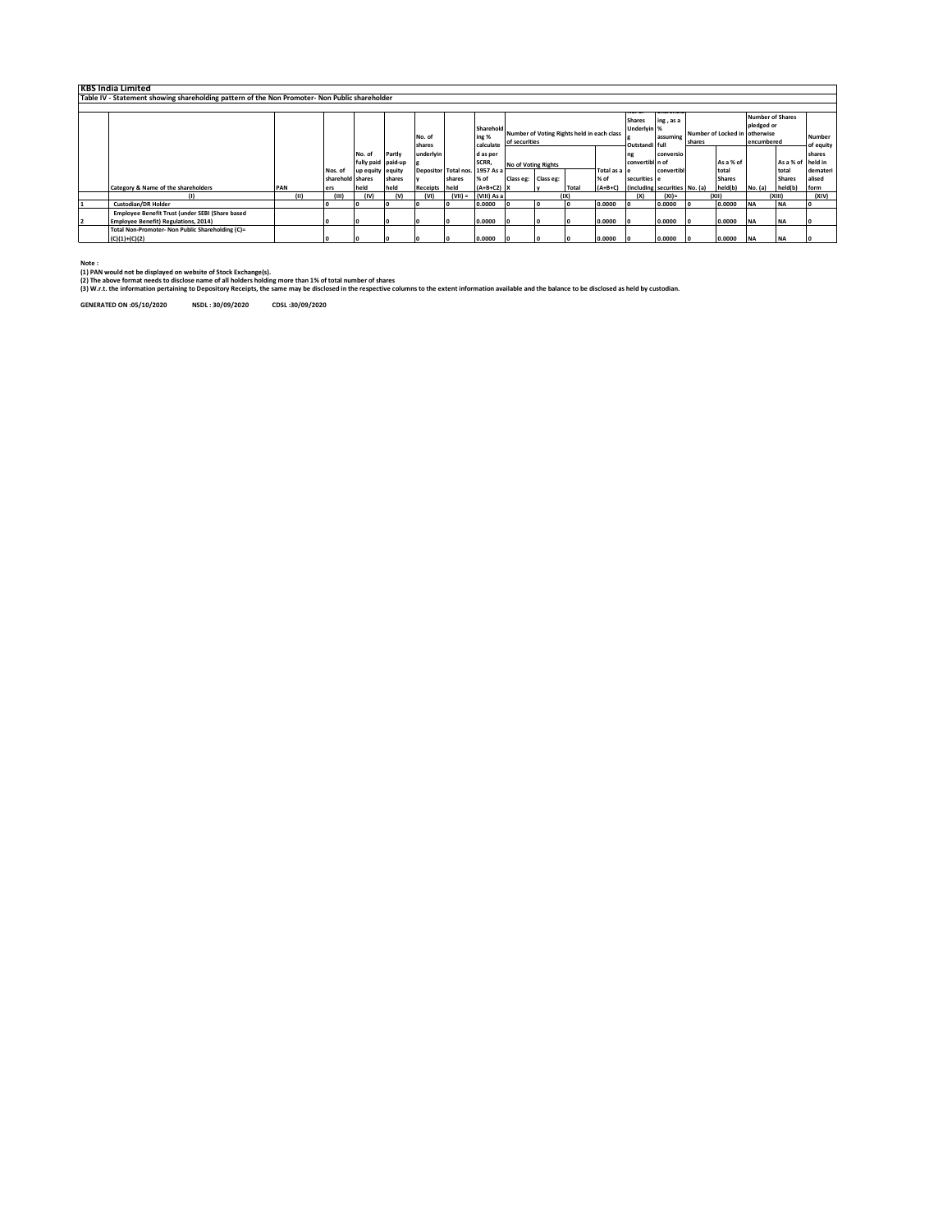| <b>KBS India Limited</b>                                                                                           |      |                             |                              |        |                 |           |                                        |                                                          |                                                 |                                          |                       |                                                     |            |                     |                        |            |                        |                    |
|--------------------------------------------------------------------------------------------------------------------|------|-----------------------------|------------------------------|--------|-----------------|-----------|----------------------------------------|----------------------------------------------------------|-------------------------------------------------|------------------------------------------|-----------------------|-----------------------------------------------------|------------|---------------------|------------------------|------------|------------------------|--------------------|
| Table IV - Statement showing shareholding pattern of the Non Promoter- Non Public shareholder                      |      |                             |                              |        |                 |           |                                        |                                                          |                                                 |                                          |                       |                                                     |            |                     |                        |            |                        |                    |
|                                                                                                                    |      |                             |                              |        |                 |           |                                        |                                                          |                                                 |                                          |                       |                                                     |            |                     |                        |            |                        |                    |
| Sharehold<br>Number of Voting Rights held in each class<br>ing %<br>No. of<br>of securities<br>calculate<br>shares |      |                             |                              |        |                 |           |                                        | 110. U<br><b>Shares</b><br>Underlyin %<br>Outstandi full | <b>Julian Children</b><br>ing, as a<br>assuming | Number of Locked in Lotherwise<br>shares |                       | <b>Number of Shares</b><br>pledged or<br>encumbered |            | Number<br>of equity |                        |            |                        |                    |
|                                                                                                                    |      |                             | No. of<br>fully paid paid-up | Partly | underlvin       |           | d as per<br>SCRR,                      | <b>No of Voting Rights</b>                               |                                                 |                                          |                       | ng<br>convertibl n of                               | conversio  |                     | As a % of              |            | As a % of held in      | shares             |
|                                                                                                                    |      | Nos. of<br>sharehold shares | up equity equity             | shares |                 | shares    | Depositor Total nos. 1957 As a<br>% of | Class eg: Class eg:                                      |                                                 |                                          | Total as a le<br>% of | securities e                                        | convertibl |                     | total<br><b>Shares</b> |            | total<br><b>Shares</b> | demateri<br>alised |
| Category & Name of the shareholders                                                                                | PAN  | ers                         | held                         | held   | <b>Receipts</b> | held      | $(A+B+C2)$ X                           |                                                          |                                                 | Tota                                     | $(A+B+C)$             | (including securities No. (a)                       |            |                     | held(b)                | No. (a)    | held(b)                | form               |
|                                                                                                                    | (11) | Ш                           | (IV)                         | (v)    | (VI)            | $(VII) =$ | (VIII) As a                            |                                                          |                                                 | (IX)                                     |                       | (x)                                                 | $(XI) =$   |                     | (XII)                  |            | (X  )                  | (XIV)              |
| <b>Custodian/DR Holder</b>                                                                                         |      | I٥                          |                              |        |                 |           | 0.0000                                 |                                                          |                                                 |                                          | 0.0000                | lo.                                                 | 0.0000     |                     | 0.0000                 | <b>NA</b>  | <b>INA</b>             |                    |
| Employee Benefit Trust (under SEBI (Share based<br><b>Employee Benefit) Regulations, 2014)</b>                     |      | I٥                          |                              |        |                 |           | 0.0000                                 |                                                          |                                                 |                                          | 0.0000                | - 10                                                | 0.0000     |                     | 0.0000                 | <b>NA</b>  | <b>INA</b>             |                    |
| Total Non-Promoter- Non Public Shareholding (C)=<br>$(C)(1)+(C)(2)$                                                |      | I٥                          |                              |        |                 |           | 0.0000                                 |                                                          |                                                 |                                          | 0.0000                | - 10                                                | 0.0000     |                     | 0.0000                 | <b>INA</b> | <b>INA</b>             |                    |

**Note : (1) PAN would not be displayed on website of Stock Exchange(s).** 

(2) The above format needs to disclose name of all holders holding more than 1Xs of total number of shares<br>(3) W.r.t. the information pertaining to Depository Receipts, the same may be disclosed in the respective columns t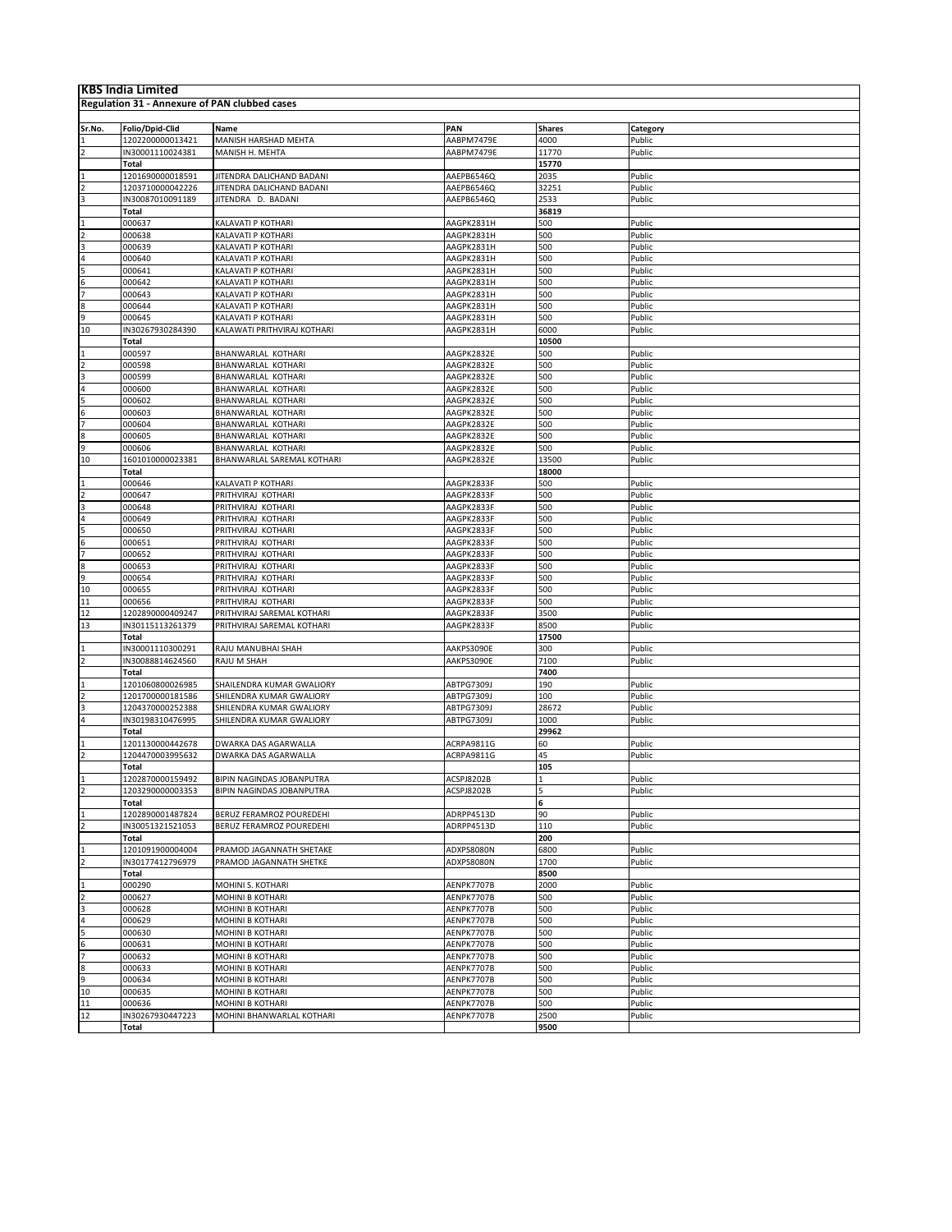| <b>KBS India Limited</b> |                                               |                                  |                   |               |                    |  |  |  |  |  |  |  |
|--------------------------|-----------------------------------------------|----------------------------------|-------------------|---------------|--------------------|--|--|--|--|--|--|--|
|                          | Regulation 31 - Annexure of PAN clubbed cases |                                  |                   |               |                    |  |  |  |  |  |  |  |
|                          |                                               |                                  |                   |               |                    |  |  |  |  |  |  |  |
|                          | Folio/Dpid-Clid                               | Name                             | PAN               | <b>Shares</b> |                    |  |  |  |  |  |  |  |
| Sr.No.                   | 1202200000013421                              | MANISH HARSHAD MEHTA             | AABPM7479E        | 4000          | Category<br>Public |  |  |  |  |  |  |  |
| $\overline{2}$           | IN30001110024381                              | MANISH H. MEHTA                  | AABPM7479E        | 11770         | Public             |  |  |  |  |  |  |  |
|                          | Total                                         |                                  |                   | 15770         |                    |  |  |  |  |  |  |  |
| $\mathbf{1}$             | 1201690000018591                              | JITENDRA DALICHAND BADANI        | AAEPB6546Q        | 2035          | Public             |  |  |  |  |  |  |  |
|                          | 1203710000042226                              | JITENDRA DALICHAND BADANI        | AAEPB6546Q        | 32251         | Public             |  |  |  |  |  |  |  |
|                          | IN30087010091189                              | JITENDRA D. BADANI               | AAEPB6546Q        | 2533          | Public             |  |  |  |  |  |  |  |
|                          | Total                                         |                                  |                   | 36819         |                    |  |  |  |  |  |  |  |
| $\overline{1}$           | 000637                                        | KALAVATI P KOTHARI               | AAGPK2831H        | 500           | Public             |  |  |  |  |  |  |  |
| $\overline{2}$           | 000638                                        | KALAVATI P KOTHARI               | AAGPK2831H        | 500           | Public             |  |  |  |  |  |  |  |
| $\overline{3}$           | 000639                                        | KALAVATI P KOTHARI               | AAGPK2831H        | 500           | Public             |  |  |  |  |  |  |  |
| 4                        | 000640                                        | KALAVATI P KOTHARI               | AAGPK2831H        | 500           | Public             |  |  |  |  |  |  |  |
| 5                        | 000641                                        | KALAVATI P KOTHARI               | AAGPK2831H        | 500           | Public             |  |  |  |  |  |  |  |
| 6                        | 000642                                        | KALAVATI P KOTHARI               | AAGPK2831H        | 500           | Public             |  |  |  |  |  |  |  |
| $\overline{7}$           | 000643                                        | KALAVATI P KOTHARI               | AAGPK2831H        | 500           | Public             |  |  |  |  |  |  |  |
| 8                        | 000644                                        | KALAVATI P KOTHARI               | AAGPK2831H        | 500           | Public             |  |  |  |  |  |  |  |
| 9                        | 000645                                        | KALAVATI P KOTHARI               | AAGPK2831H        | 500           | Public             |  |  |  |  |  |  |  |
| 10                       | IN30267930284390                              | KALAWATI PRITHVIRAJ KOTHARI      | AAGPK2831H        | 6000          | Public             |  |  |  |  |  |  |  |
|                          | Total                                         |                                  |                   | 10500         |                    |  |  |  |  |  |  |  |
| $\mathbf{1}$             | 000597                                        | BHANWARLAL KOTHARI               | AAGPK2832E        | 500           | Public             |  |  |  |  |  |  |  |
| $\overline{2}$           | 000598                                        | BHANWARLAL KOTHARI               | AAGPK2832E        | 500           | Public             |  |  |  |  |  |  |  |
| 3                        | 000599                                        | BHANWARLAL KOTHARI               | AAGPK2832E        | 500           | Public             |  |  |  |  |  |  |  |
| $\overline{4}$           | 000600                                        | BHANWARLAL KOTHARI               | AAGPK2832E        | 500           | Public             |  |  |  |  |  |  |  |
| 5                        | 000602                                        | <b>BHANWARLAL KOTHARI</b>        | AAGPK2832E        | 500           | Public             |  |  |  |  |  |  |  |
| 6                        | 000603                                        | BHANWARLAL KOTHARI               | AAGPK2832E        | 500           | Public             |  |  |  |  |  |  |  |
| $\overline{7}$           | 000604                                        | BHANWARLAL KOTHARI               | AAGPK2832E        | 500           | Public             |  |  |  |  |  |  |  |
| 8                        | 000605                                        | BHANWARLAL KOTHARI               | AAGPK2832E        | 500           | Public             |  |  |  |  |  |  |  |
| 9                        | 000606                                        | BHANWARLAL KOTHARI               | AAGPK2832E        | 500           | Public             |  |  |  |  |  |  |  |
| 10                       | 1601010000023381                              | BHANWARLAL SAREMAL KOTHARI       | AAGPK2832E        | 13500         | Public             |  |  |  |  |  |  |  |
|                          | Total                                         |                                  |                   | 18000         |                    |  |  |  |  |  |  |  |
| $\mathbf{1}$             | 000646                                        | KALAVATI P KOTHARI               | AAGPK2833F        | 500           | Public             |  |  |  |  |  |  |  |
| $\overline{\phantom{a}}$ | 000647                                        | PRITHVIRAJ KOTHARI               | AAGPK2833F        | 500           | Public             |  |  |  |  |  |  |  |
| 3                        | 000648                                        | PRITHVIRAJ KOTHARI               | AAGPK2833F        | 500           | Public             |  |  |  |  |  |  |  |
| $\sqrt{4}$               | 000649                                        | PRITHVIRAJ KOTHARI               | AAGPK2833F        | 500           | Public             |  |  |  |  |  |  |  |
| 5                        | 000650                                        | PRITHVIRAJ KOTHARI               | AAGPK2833F        | 500           | Public             |  |  |  |  |  |  |  |
| 6                        | 000651                                        | PRITHVIRAJ KOTHARI               | AAGPK2833F        | 500           | Public             |  |  |  |  |  |  |  |
| $\overline{7}$           | 000652                                        | PRITHVIRAJ KOTHARI               | AAGPK2833F        | 500           | Public             |  |  |  |  |  |  |  |
| 8                        | 000653                                        | PRITHVIRAJ KOTHARI               | AAGPK2833F        | 500           | Public             |  |  |  |  |  |  |  |
| 9                        | 000654                                        | PRITHVIRAJ KOTHARI               | AAGPK2833F        | 500           | Public             |  |  |  |  |  |  |  |
| 10                       | 000655                                        | PRITHVIRAJ KOTHARI               | AAGPK2833F        | 500           | Public             |  |  |  |  |  |  |  |
| 11                       | 000656                                        | PRITHVIRAJ KOTHARI               | AAGPK2833F        | 500           | Public             |  |  |  |  |  |  |  |
| 12                       | 1202890000409247                              | PRITHVIRAJ SAREMAL KOTHARI       | AAGPK2833F        | 3500          | Public             |  |  |  |  |  |  |  |
| 13                       | IN30115113261379                              | PRITHVIRAJ SAREMAL KOTHARI       | AAGPK2833F        | 8500          | Public             |  |  |  |  |  |  |  |
|                          | <b>Total</b>                                  |                                  |                   | 17500         |                    |  |  |  |  |  |  |  |
| $\mathbf{1}$             | IN30001110300291                              | RAJU MANUBHAI SHAH               | AAKPS3090E        | 300           | Public             |  |  |  |  |  |  |  |
| $\overline{2}$           | IN30088814624560                              | RAJU M SHAH                      | AAKPS3090E        | 7100          | Public             |  |  |  |  |  |  |  |
|                          | <b>Total</b>                                  |                                  |                   | 7400          |                    |  |  |  |  |  |  |  |
| $\mathbf{1}$             | 1201060800026985                              | SHAILENDRA KUMAR GWALIORY        | ABTPG7309J        | 190           | Public             |  |  |  |  |  |  |  |
|                          | 1201700000181586                              | SHILENDRA KUMAR GWALIORY         | <b>ABTPG7309J</b> | 100           | Public             |  |  |  |  |  |  |  |
|                          | 1204370000252388                              | SHILENDRA KUMAR GWALIORY         | ABTPG7309.        | 28672         | Public             |  |  |  |  |  |  |  |
| 4                        | IN30198310476995                              | SHILENDRA KUMAR GWALIORY         | ABTPG7309J        | 1000          | Public             |  |  |  |  |  |  |  |
|                          | Total                                         |                                  |                   | 29962         |                    |  |  |  |  |  |  |  |
|                          | 1201130000442678                              | DWARKA DAS AGARWALLA             | ACRPA9811G        | 60            | Public             |  |  |  |  |  |  |  |
|                          | 1204470003995632                              | DWARKA DAS AGARWALLA             | ACRPA9811G        | 45            | Public             |  |  |  |  |  |  |  |
|                          | Total                                         |                                  |                   | 105           |                    |  |  |  |  |  |  |  |
|                          | 1202870000159492                              | <b>BIPIN NAGINDAS JOBANPUTRA</b> | ACSPJ8202B        |               | Public             |  |  |  |  |  |  |  |
| $\overline{2}$           | 1203290000003353                              | <b>BIPIN NAGINDAS JOBANPUTRA</b> | ACSPJ8202B        | 5             | Public             |  |  |  |  |  |  |  |
|                          | Total                                         |                                  |                   | 6             |                    |  |  |  |  |  |  |  |
| 1                        | 1202890001487824                              | BERUZ FERAMROZ POUREDEHI         | ADRPP4513D        | 90            | Public             |  |  |  |  |  |  |  |
| $\overline{2}$           | IN30051321521053                              | BERUZ FERAMROZ POUREDEHI         | ADRPP4513D        | 110           | Public             |  |  |  |  |  |  |  |
|                          | Total                                         |                                  |                   | 200           |                    |  |  |  |  |  |  |  |
| $\mathbf{1}$             | 1201091900004004                              | PRAMOD JAGANNATH SHETAKE         | ADXPS8080N        | 6800          | Public             |  |  |  |  |  |  |  |
|                          | IN30177412796979                              | PRAMOD JAGANNATH SHETKE          | ADXPS8080N        | 1700          | Public             |  |  |  |  |  |  |  |
|                          | Total                                         |                                  |                   | 8500          |                    |  |  |  |  |  |  |  |
| $\mathbf{1}$             | 000290                                        | MOHINI S. KOTHARI                | AENPK7707B        | 2000          | Public             |  |  |  |  |  |  |  |
| $\overline{2}$           | 000627                                        | MOHINI B KOTHARI                 | AENPK7707B        | 500           | Public             |  |  |  |  |  |  |  |
| 3                        | 000628                                        | MOHINI B KOTHARI                 | AENPK7707B        | 500           | Public             |  |  |  |  |  |  |  |
| $\overline{4}$           | 000629                                        | MOHINI B KOTHARI                 | AENPK7707B        | 500           | Public             |  |  |  |  |  |  |  |
| 5                        | 000630                                        | MOHINI B KOTHARI                 | AENPK7707B        | 500           | Public             |  |  |  |  |  |  |  |
| 6                        | 000631                                        | MOHINI B KOTHARI                 | AENPK7707B        | 500           | Public             |  |  |  |  |  |  |  |
| $\overline{7}$           | 000632                                        | MOHINI B KOTHARI                 | AENPK7707B        | 500           | Public             |  |  |  |  |  |  |  |
| 8                        | 000633                                        | MOHINI B KOTHARI                 | AENPK7707B        | 500           | Public             |  |  |  |  |  |  |  |
| 9                        | 000634                                        | MOHINI B KOTHARI                 | AENPK7707B        | 500           | Public             |  |  |  |  |  |  |  |
| 10                       | 000635                                        | MOHINI B KOTHARI                 | AENPK7707B        | 500           | Public             |  |  |  |  |  |  |  |
| 11                       | 000636                                        | MOHINI B KOTHARI                 | AENPK7707B        | 500           | Public             |  |  |  |  |  |  |  |
| 12                       | IN30267930447223                              | MOHINI BHANWARLAL KOTHARI        | AENPK7707B        | 2500          | Public             |  |  |  |  |  |  |  |
|                          | Total                                         |                                  |                   | 9500          |                    |  |  |  |  |  |  |  |